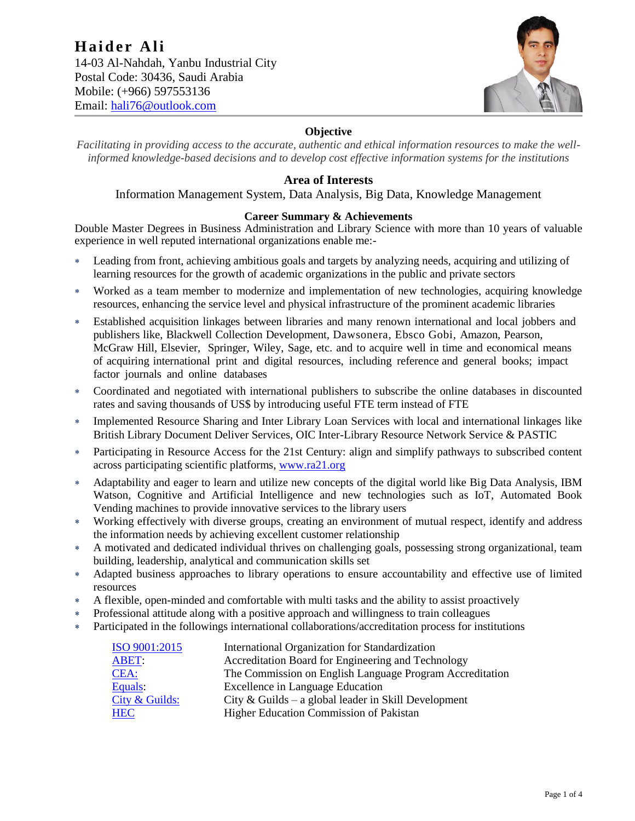

# **Objective**

*Facilitating in providing access to the accurate, authentic and ethical information resources to make the wellinformed knowledge-based decisions and to develop cost effective information systems for the institutions*

## **Area of Interests**

Information Management System, Data Analysis, Big Data, Knowledge Management

## **Career Summary & Achievements**

Double Master Degrees in Business Administration and Library Science with more than 10 years of valuable experience in well reputed international organizations enable me:-

- Leading from front, achieving ambitious goals and targets by analyzing needs, acquiring and utilizing of learning resources for the growth of academic organizations in the public and private sectors
- Worked as a team member to modernize and implementation of new technologies, acquiring knowledge resources, enhancing the service level and physical infrastructure of the prominent academic libraries
- Established acquisition linkages between libraries and many renown international and local jobbers and publishers like, Blackwell Collection Development, Dawsonera, Ebsco Gobi, Amazon, Pearson, McGraw Hill, Elsevier, Springer, Wiley, Sage, etc. and to acquire well in time and economical means of acquiring international print and digital resources, including reference and general books; impact factor journals and online databases
- Coordinated and negotiated with international publishers to subscribe the online databases in discounted rates and saving thousands of US\$ by introducing useful FTE term instead of FTE
- Implemented Resource Sharing and Inter Library Loan Services with local and international linkages like British Library Document Deliver Services, OIC Inter-Library Resource Network Service & PASTIC
- Participating in Resource Access for the 21st Century: align and simplify pathways to subscribed content across participating scientific platforms, [www.ra21.org](http://www.ra21.org/)
- Adaptability and eager to learn and utilize new concepts of the digital world like Big Data Analysis, IBM Watson, Cognitive and Artificial Intelligence and new technologies such as IoT, Automated Book Vending machines to provide innovative services to the library users
- Working effectively with diverse groups, creating an environment of mutual respect, identify and address the information needs by achieving excellent customer relationship
- A motivated and dedicated individual thrives on challenging goals, possessing strong organizational, team building, leadership, analytical and communication skills set
- Adapted business approaches to library operations to ensure accountability and effective use of limited resources
- A flexible, open-minded and comfortable with multi tasks and the ability to assist proactively
- Professional attitude along with a positive approach and willingness to train colleagues
- Participated in the followings international collaborations/accreditation process for institutions

| ISO 9001:2015    | International Organization for Standardization           |
|------------------|----------------------------------------------------------|
| <b>ABET:</b>     | Accreditation Board for Engineering and Technology       |
| CEA:             | The Commission on English Language Program Accreditation |
| Equals:          | <b>Excellence in Language Education</b>                  |
| City $&$ Guilds: | City & Guilds – a global leader in Skill Development     |
| <b>HEC</b>       | Higher Education Commission of Pakistan                  |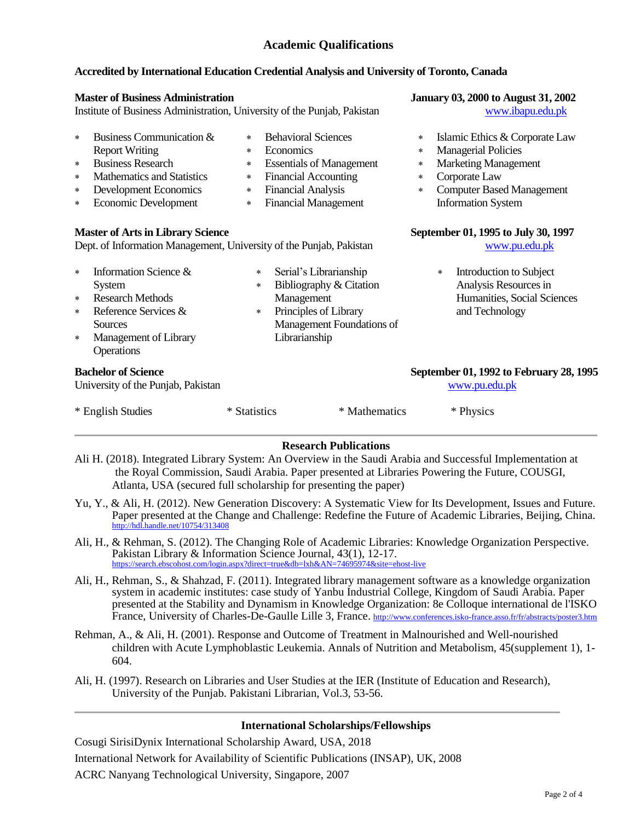# **Academic Qualifications**

#### **Accredited by International Education Credential Analysis and University of Toronto, Canada**

| <b>Master of Business Administration</b>                                                                        |                                                                                                                                                                     |                                                                                                                                                                      |                                                                                                                                                                       |               | <b>January 03, 2000 to August 31, 2002</b>        |                                                                                                                                                                               |  |
|-----------------------------------------------------------------------------------------------------------------|---------------------------------------------------------------------------------------------------------------------------------------------------------------------|----------------------------------------------------------------------------------------------------------------------------------------------------------------------|-----------------------------------------------------------------------------------------------------------------------------------------------------------------------|---------------|---------------------------------------------------|-------------------------------------------------------------------------------------------------------------------------------------------------------------------------------|--|
| Institute of Business Administration, University of the Punjab, Pakistan                                        |                                                                                                                                                                     |                                                                                                                                                                      |                                                                                                                                                                       |               |                                                   | www.ibapu.edu.pk                                                                                                                                                              |  |
| $\ast$<br>$\ast$<br>$\ast$<br>$\ast$<br>$\ast$                                                                  | Business Communication &<br><b>Report Writing</b><br><b>Business Research</b><br><b>Mathematics and Statistics</b><br>Development Economics<br>Economic Development | $\ast$<br>$\ast$<br>$\ast$<br>$\ast$<br>$\ast$<br>$\ast$                                                                                                             | <b>Behavioral Sciences</b><br>Economics<br><b>Essentials of Management</b><br><b>Financial Accounting</b><br><b>Financial Analysis</b><br><b>Financial Management</b> |               | $\star$<br>$\ast$<br>$\star$<br>$\ast$<br>$\star$ | Islamic Ethics & Corporate Law<br><b>Managerial Policies</b><br><b>Marketing Management</b><br>Corporate Law<br><b>Computer Based Management</b><br><b>Information System</b> |  |
| <b>Master of Arts in Library Science</b><br>Dept. of Information Management, University of the Punjab, Pakistan |                                                                                                                                                                     |                                                                                                                                                                      | September 01, 1995 to July 30, 1997<br>www.pu.edu.pk                                                                                                                  |               |                                                   |                                                                                                                                                                               |  |
| $\ast$<br>$\ast$<br>$\ast$<br>$\ast$                                                                            | Information Science &<br>System<br><b>Research Methods</b><br>Reference Services &<br>Sources<br>Management of Library<br>Operations                                | Serial's Librarianship<br>$\ast$<br>Bibliography & Citation<br>$\ast$<br>Management<br>Principles of Library<br>$\ast$<br>Management Foundations of<br>Librarianship |                                                                                                                                                                       |               |                                                   | Introduction to Subject<br>$\star$<br>Analysis Resources in<br>Humanities, Social Sciences<br>and Technology                                                                  |  |
|                                                                                                                 | <b>Bachelor of Science</b><br>University of the Punjab, Pakistan                                                                                                    |                                                                                                                                                                      |                                                                                                                                                                       |               |                                                   | September 01, 1992 to February 28, 1995<br>www.pu.edu.pk                                                                                                                      |  |
| * English Studies                                                                                               |                                                                                                                                                                     | * Statistics                                                                                                                                                         |                                                                                                                                                                       | * Mathematics |                                                   | * Physics                                                                                                                                                                     |  |
|                                                                                                                 | Doconroh Dublications                                                                                                                                               |                                                                                                                                                                      |                                                                                                                                                                       |               |                                                   |                                                                                                                                                                               |  |

## **Research Publications**

- Ali H. (2018). Integrated Library System: An Overview in the Saudi Arabia and Successful Implementation at the Royal Commission, Saudi Arabia. Paper presented at Libraries Powering the Future, COUSGI, Atlanta, USA (secured full scholarship for presenting the paper)
- Yu, Y., & Ali, H. (2012). New Generation Discovery: A Systematic View for Its Development, Issues and Future. Paper presented at the Change and Challenge: Redefine the Future of Academic Libraries, Beijing, China. <http://hdl.handle.net/10754/313408>
- Ali, H., & Rehman, S. (2012). The Changing Role of Academic Libraries: Knowledge Organization Perspective. Pakistan Library & Information Science Journal, 43(1), 12-17. <https://search.ebscohost.com/login.aspx?direct=true&db=lxh&AN=74695974&site=ehost-live>
- Ali, H., Rehman, S., & Shahzad, F. (2011). Integrated library management software as a knowledge organization system in academic institutes: case study of Yanbu Industrial College, Kingdom of Saudi Arabia. Paper presented at the Stability and Dynamism in Knowledge Organization: 8e Colloque international de l'ISKO France, University of Charles-De-Gaulle Lille 3, France. <http://www.conferences.isko-france.asso.fr/fr/abstracts/poster3.htm>
- Rehman, A., & Ali, H. (2001). Response and Outcome of Treatment in Malnourished and Well-nourished children with Acute Lymphoblastic Leukemia. Annals of Nutrition and Metabolism, 45(supplement 1), 1- 604.
- Ali, H. (1997). Research on Libraries and User Studies at the IER (Institute of Education and Research), University of the Punjab. Pakistani Librarian, Vol.3, 53-56.

#### **International Scholarships/Fellowships**

Cosugi SirisiDynix International Scholarship Award, USA, 2018 International Network for Availability of Scientific Publications (INSAP), UK, 2008 ACRC Nanyang Technological University, Singapore, 2007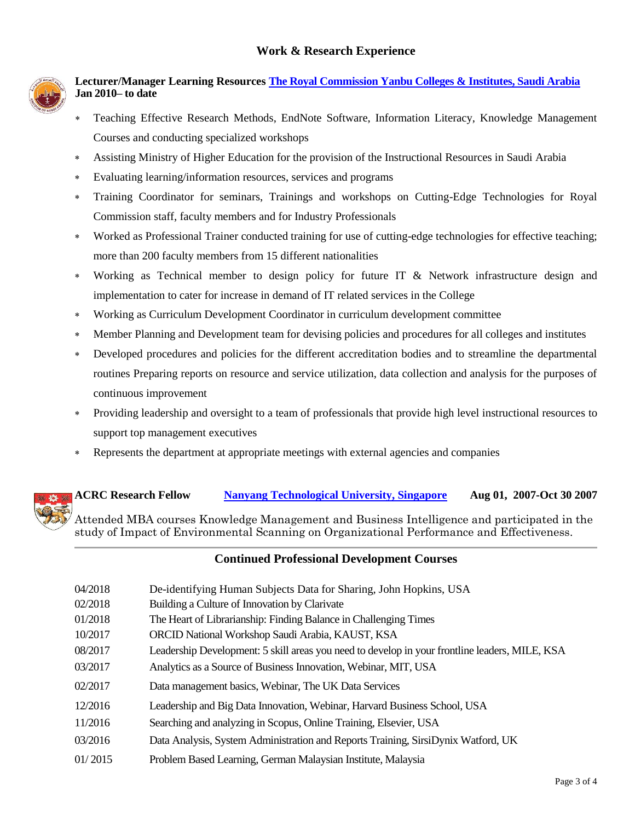

# **Lecturer/Manager Learning Resources [The Royal Commission Yanbu Colleges & Institutes, Saudi](http://www.rcjy.gov.sa/) Arabia Jan 2010– to date**

- Teaching Effective Research Methods, EndNote Software, Information Literacy, Knowledge Management Courses and conducting specialized workshops
- Assisting Ministry of Higher Education for the provision of the Instructional Resources in Saudi Arabia
- Evaluating learning/information resources, services and programs
- Training Coordinator for seminars, Trainings and workshops on Cutting-Edge Technologies for Royal Commission staff, faculty members and for Industry Professionals
- Worked as Professional Trainer conducted training for use of cutting-edge technologies for effective teaching; more than 200 faculty members from 15 different nationalities
- Working as Technical member to design policy for future IT & Network infrastructure design and implementation to cater for increase in demand of IT related services in the College
- Working as Curriculum Development Coordinator in curriculum development committee
- Member Planning and Development team for devising policies and procedures for all colleges and institutes
- Developed procedures and policies for the different accreditation bodies and to streamline the departmental routines Preparing reports on resource and service utilization, data collection and analysis for the purposes of continuous improvement
- Providing leadership and oversight to a team of professionals that provide high level instructional resources to support top management executives
- Represents the department at appropriate meetings with external agencies and companies

# **ACRC Research Fellow [Nanyang Technological University, Singapore](http://www.ntu.edu.sg/) Aug 01, 2007-Oct 30 2007** Attended MBA courses Knowledge Management and Business Intelligence and participated in the study of Impact of Environmental Scanning on Organizational Performance and Effectiveness.

## **Continued Professional Development Courses**

| 04/2018 | De-identifying Human Subjects Data for Sharing, John Hopkins, USA                              |
|---------|------------------------------------------------------------------------------------------------|
| 02/2018 | Building a Culture of Innovation by Clarivate                                                  |
| 01/2018 | The Heart of Librarianship: Finding Balance in Challenging Times                               |
| 10/2017 | ORCID National Workshop Saudi Arabia, KAUST, KSA                                               |
| 08/2017 | Leadership Development: 5 skill areas you need to develop in your frontline leaders, MILE, KSA |
| 03/2017 | Analytics as a Source of Business Innovation, Webinar, MIT, USA                                |
| 02/2017 | Data management basics, Webinar, The UK Data Services                                          |
| 12/2016 | Leadership and Big Data Innovation, Webinar, Harvard Business School, USA                      |
| 11/2016 | Searching and analyzing in Scopus, Online Training, Elsevier, USA                              |
| 03/2016 | Data Analysis, System Administration and Reports Training, SirsiDynix Watford, UK              |
| 01/2015 | Problem Based Learning, German Malaysian Institute, Malaysia                                   |